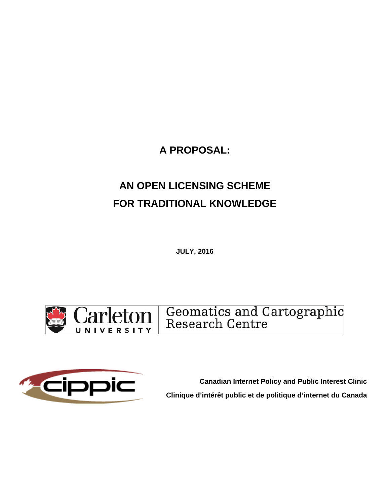**A PROPOSAL:** 

# **AN OPEN LICENSING SCHEME FOR TRADITIONAL KNOWLEDGE**

**JULY, 2016** 



Geomatics and Cartographic<br>Research Centre



**Canadian Internet Policy and Public Interest Clinic Clinique d'intérêt public et de politique d'internet du Canada**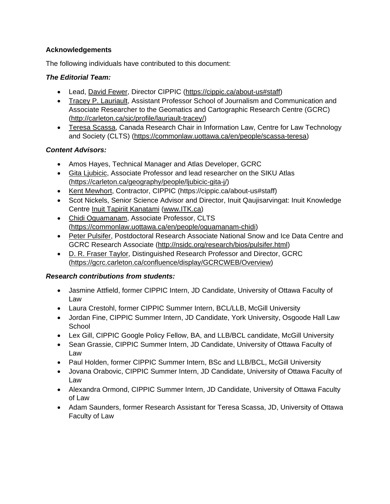### **Acknowledgements**

The following individuals have contributed to this document:

### *The Editorial Team:*

- Lead, David Fewer, Director CIPPIC (https://cippic.ca/about-us#staff)
- Tracey P. Lauriault, Assistant Professor School of Journalism and Communication and Associate Researcher to the Geomatics and Cartographic Research Centre (GCRC) (http://carleton.ca/sjc/profile/lauriault-tracey/)
- Teresa Scassa, Canada Research Chair in Information Law, Centre for Law Technology and Society (CLTS) (https://commonlaw.uottawa.ca/en/people/scassa-teresa)

### *Content Advisors:*

- Amos Hayes, Technical Manager and Atlas Developer, GCRC
- Gita Liubicic, Associate Professor and lead researcher on the SIKU Atlas (https://carleton.ca/geography/people/ljubicic-gita-j/)
- Kent Mewhort, Contractor, CIPPIC (https://cippic.ca/about-us#staff)
- Scot Nickels, Senior Science Advisor and Director, Inuit Qaujisarvingat: Inuit Knowledge Centre Inuit Tapiriit Kanatami (www.ITK.ca)
- Chidi Oguamanam, Associate Professor, CLTS (https://commonlaw.uottawa.ca/en/people/oguamanam-chidi)
- Peter Pulsifer, Postdoctoral Research Associate National Snow and Ice Data Centre and GCRC Research Associate (http://nsidc.org/research/bios/pulsifer.html)
- D. R. Fraser Taylor, Distinguished Research Professor and Director, GCRC (https://gcrc.carleton.ca/confluence/display/GCRCWEB/Overview)

### *Research contributions from students:*

- Jasmine Attfield, former CIPPIC Intern, JD Candidate, University of Ottawa Faculty of Law
- Laura Crestohl, former CIPPIC Summer Intern, BCL/LLB, McGill University
- Jordan Fine, CIPPIC Summer Intern, JD Candidate, York University, Osgoode Hall Law **School**
- Lex Gill, CIPPIC Google Policy Fellow, BA, and LLB/BCL candidate, McGill University
- Sean Grassie, CIPPIC Summer Intern, JD Candidate, University of Ottawa Faculty of Law
- Paul Holden, former CIPPIC Summer Intern, BSc and LLB/BCL, McGill University
- Jovana Orabovic, CIPPIC Summer Intern, JD Candidate, University of Ottawa Faculty of Law
- Alexandra Ormond, CIPPIC Summer Intern, JD Candidate, University of Ottawa Faculty of Law
- Adam Saunders, former Research Assistant for Teresa Scassa, JD, University of Ottawa Faculty of Law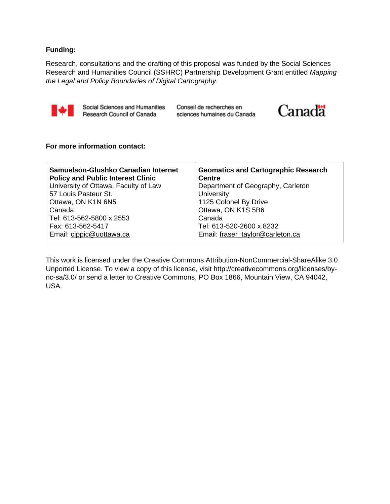#### **Funding:**

Research, consultations and the drafting of this proposal was funded by the Social Sciences Research and Humanities Council (SSHRC) Partnership Development Grant entitled *Mapping the Legal and Policy Boundaries of Digital Cartography*.



Social Sciences and Humanities Research Council of Canada

Conseil de recherches en sciences humaines du Canada



#### **For more information contact:**

| Samuelson-Glushko Canadian Internet      | <b>Geomatics and Cartographic Research</b> |
|------------------------------------------|--------------------------------------------|
| <b>Policy and Public Interest Clinic</b> | <b>Centre</b>                              |
| University of Ottawa, Faculty of Law     | Department of Geography, Carleton          |
| 57 Louis Pasteur St.                     | University                                 |
| Ottawa, ON K1N 6N5                       | 1125 Colonel By Drive                      |
| Canada                                   | Ottawa, ON K1S 5B6                         |
| Tel: 613-562-5800 x.2553                 | Canada                                     |
| Fax: 613-562-5417                        | Tel: 613-520-2600 x.8232                   |
| Email: cippic@uottawa.ca                 | Email: fraser taylor@carleton.ca           |

This work is licensed under the Creative Commons Attribution-NonCommercial-ShareAlike 3.0 Unported License. To view a copy of this license, visit http://creativecommons.org/licenses/bync-sa/3.0/ or send a letter to Creative Commons, PO Box 1866, Mountain View, CA 94042, USA.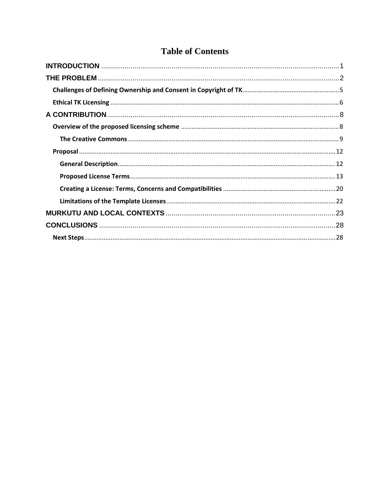# **Table of Contents**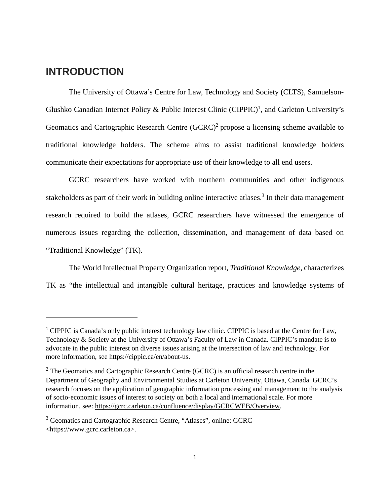# **INTRODUCTION**

The University of Ottawa's Centre for Law, Technology and Society (CLTS), Samuelson-Glushko Canadian Internet Policy & Public Interest Clinic (CIPPIC)<sup>1</sup>, and Carleton University's Geomatics and Cartographic Research Centre (GCRC)<sup>2</sup> propose a licensing scheme available to traditional knowledge holders. The scheme aims to assist traditional knowledge holders communicate their expectations for appropriate use of their knowledge to all end users.

GCRC researchers have worked with northern communities and other indigenous stakeholders as part of their work in building online interactive atlases.<sup>3</sup> In their data management research required to build the atlases, GCRC researchers have witnessed the emergence of numerous issues regarding the collection, dissemination, and management of data based on "Traditional Knowledge" (TK).

The World Intellectual Property Organization report, *Traditional Knowledge*, characterizes TK as "the intellectual and intangible cultural heritage, practices and knowledge systems of

<sup>&</sup>lt;sup>1</sup> CIPPIC is Canada's only public interest technology law clinic. CIPPIC is based at the Centre for Law, Technology & Society at the University of Ottawa's Faculty of Law in Canada. CIPPIC's mandate is to advocate in the public interest on diverse issues arising at the intersection of law and technology. For more information, see https://cippic.ca/en/about-us.

 $2$  The Geomatics and Cartographic Research Centre (GCRC) is an official research centre in the Department of Geography and Environmental Studies at Carleton University, Ottawa, Canada. GCRC's research focuses on the application of geographic information processing and management to the analysis of socio-economic issues of interest to society on both a local and international scale. For more information, see: https://gcrc.carleton.ca/confluence/display/GCRCWEB/Overview.

<sup>&</sup>lt;sup>3</sup> Geomatics and Cartographic Research Centre, "Atlases", online: GCRC <https://www.gcrc.carleton.ca>.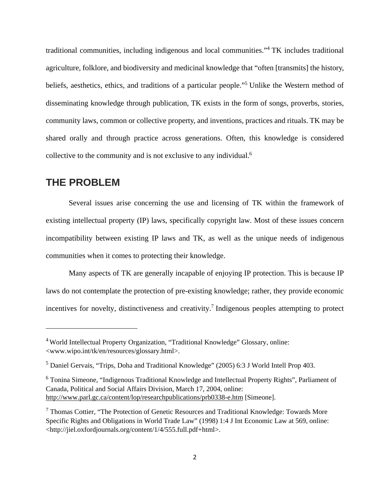traditional communities, including indigenous and local communities."4 TK includes traditional agriculture, folklore, and biodiversity and medicinal knowledge that "often [transmits] the history, beliefs, aesthetics, ethics, and traditions of a particular people."<sup>5</sup> Unlike the Western method of disseminating knowledge through publication, TK exists in the form of songs, proverbs, stories, community laws, common or collective property, and inventions, practices and rituals. TK may be shared orally and through practice across generations. Often, this knowledge is considered collective to the community and is not exclusive to any individual.<sup>6</sup>

# **THE PROBLEM**

Several issues arise concerning the use and licensing of TK within the framework of existing intellectual property (IP) laws, specifically copyright law. Most of these issues concern incompatibility between existing IP laws and TK, as well as the unique needs of indigenous communities when it comes to protecting their knowledge.

Many aspects of TK are generally incapable of enjoying IP protection. This is because IP laws do not contemplate the protection of pre-existing knowledge; rather, they provide economic incentives for novelty, distinctiveness and creativity.<sup>7</sup> Indigenous peoples attempting to protect

<sup>4</sup> World Intellectual Property Organization, "Traditional Knowledge" Glossary, online: <www.wipo.int/tk/en/resources/glossary.html>.

<sup>&</sup>lt;sup>5</sup> Daniel Gervais, "Trips, Doha and Traditional Knowledge" (2005) 6:3 J World Intell Prop 403.

<sup>&</sup>lt;sup>6</sup> Tonina Simeone, "Indigenous Traditional Knowledge and Intellectual Property Rights", Parliament of Canada, Political and Social Affairs Division, March 17, 2004, online: http://www.parl.gc.ca/content/lop/researchpublications/prb0338-e.htm [Simeone].

<sup>&</sup>lt;sup>7</sup> Thomas Cottier, "The Protection of Genetic Resources and Traditional Knowledge: Towards More Specific Rights and Obligations in World Trade Law" (1998) 1:4 J Int Economic Law at 569, online: <http://jiel.oxfordjournals.org/content/1/4/555.full.pdf+html>.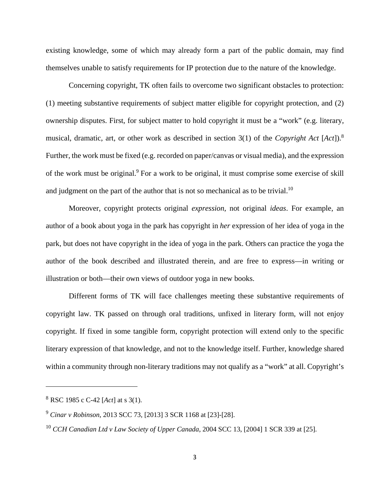existing knowledge, some of which may already form a part of the public domain, may find themselves unable to satisfy requirements for IP protection due to the nature of the knowledge.

Concerning copyright, TK often fails to overcome two significant obstacles to protection: (1) meeting substantive requirements of subject matter eligible for copyright protection, and (2) ownership disputes. First, for subject matter to hold copyright it must be a "work" (e.g. literary, musical, dramatic, art, or other work as described in section 3(1) of the *Copyright Act* [*Act*]).<sup>8</sup> Further, the work must be fixed (e.g. recorded on paper/canvas or visual media), and the expression of the work must be original.<sup>9</sup> For a work to be original, it must comprise some exercise of skill and judgment on the part of the author that is not so mechanical as to be trivial.<sup>10</sup>

Moreover, copyright protects original *expression*, not original *ideas*. For example, an author of a book about yoga in the park has copyright in *her* expression of her idea of yoga in the park, but does not have copyright in the idea of yoga in the park. Others can practice the yoga the author of the book described and illustrated therein, and are free to express—in writing or illustration or both—their own views of outdoor yoga in new books.

Different forms of TK will face challenges meeting these substantive requirements of copyright law. TK passed on through oral traditions, unfixed in literary form, will not enjoy copyright. If fixed in some tangible form, copyright protection will extend only to the specific literary expression of that knowledge, and not to the knowledge itself. Further, knowledge shared within a community through non-literary traditions may not qualify as a "work" at all. Copyright's

<sup>8</sup> RSC 1985 c C-42 [*Act*] at s 3(1).

<sup>9</sup> *Cinar v Robinson*, 2013 SCC 73, [2013] 3 SCR 1168 at [23]-[28].

<sup>10</sup> *CCH Canadian Ltd v Law Society of Upper Canada*, 2004 SCC 13, [2004] 1 SCR 339 at [25].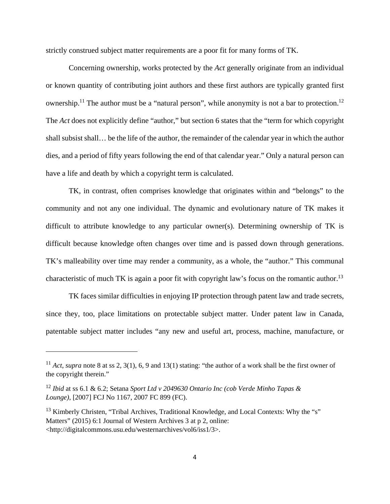strictly construed subject matter requirements are a poor fit for many forms of TK.

Concerning ownership, works protected by the *Act* generally originate from an individual or known quantity of contributing joint authors and these first authors are typically granted first ownership.<sup>11</sup> The author must be a "natural person", while anonymity is not a bar to protection.<sup>12</sup> The *Act* does not explicitly define "author," but section 6 states that the "term for which copyright shall subsist shall… be the life of the author, the remainder of the calendar year in which the author dies, and a period of fifty years following the end of that calendar year." Only a natural person can have a life and death by which a copyright term is calculated.

TK, in contrast, often comprises knowledge that originates within and "belongs" to the community and not any one individual. The dynamic and evolutionary nature of TK makes it difficult to attribute knowledge to any particular owner(s). Determining ownership of TK is difficult because knowledge often changes over time and is passed down through generations. TK's malleability over time may render a community, as a whole, the "author." This communal characteristic of much TK is again a poor fit with copyright law's focus on the romantic author.<sup>13</sup>

TK faces similar difficulties in enjoying IP protection through patent law and trade secrets, since they, too, place limitations on protectable subject matter. Under patent law in Canada, patentable subject matter includes "any new and useful art, process, machine, manufacture, or

<sup>11</sup> *Act*, *supra* note 8 at ss 2, 3(1), 6, 9 and 13(1) stating: "the author of a work shall be the first owner of the copyright therein."

<sup>12</sup> *Ibid* at ss 6.1 & 6.2; Setana *Sport Ltd v 2049630 Ontario Inc (cob Verde Minho Tapas & Lounge)*, [2007] FCJ No 1167, 2007 FC 899 (FC).

 $13$  Kimberly Christen, "Tribal Archives, Traditional Knowledge, and Local Contexts: Why the "s" Matters" (2015) 6:1 Journal of Western Archives 3 at p 2, online: <http://digitalcommons.usu.edu/westernarchives/vol6/iss1/3>.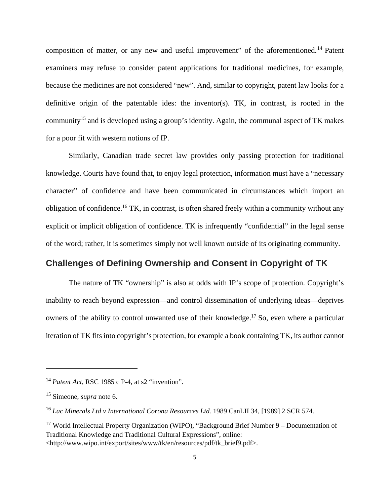composition of matter, or any new and useful improvement" of the aforementioned.<sup>14</sup> Patent examiners may refuse to consider patent applications for traditional medicines, for example, because the medicines are not considered "new". And, similar to copyright, patent law looks for a definitive origin of the patentable ides: the inventor(s). TK, in contrast, is rooted in the community15 and is developed using a group's identity. Again, the communal aspect of TK makes for a poor fit with western notions of IP.

Similarly, Canadian trade secret law provides only passing protection for traditional knowledge. Courts have found that, to enjoy legal protection, information must have a "necessary character" of confidence and have been communicated in circumstances which import an obligation of confidence.16 TK, in contrast, is often shared freely within a community without any explicit or implicit obligation of confidence. TK is infrequently "confidential" in the legal sense of the word; rather, it is sometimes simply not well known outside of its originating community.

# **Challenges of Defining Ownership and Consent in Copyright of TK**

The nature of TK "ownership" is also at odds with IP's scope of protection. Copyright's inability to reach beyond expression—and control dissemination of underlying ideas—deprives owners of the ability to control unwanted use of their knowledge.<sup>17</sup> So, even where a particular iteration of TK fits into copyright's protection, for example a book containing TK, its author cannot

<sup>14</sup> *Patent Act*, RSC 1985 c P-4, at s2 "invention".

<sup>15</sup> Simeone, *supra* note 6.

<sup>16</sup> *Lac Minerals Ltd v International Corona Resources Ltd.* 1989 CanLII 34, [1989] 2 SCR 574.

<sup>&</sup>lt;sup>17</sup> World Intellectual Property Organization (WIPO), "Background Brief Number 9 – Documentation of Traditional Knowledge and Traditional Cultural Expressions", online: <http://www.wipo.int/export/sites/www/tk/en/resources/pdf/tk\_brief9.pdf>.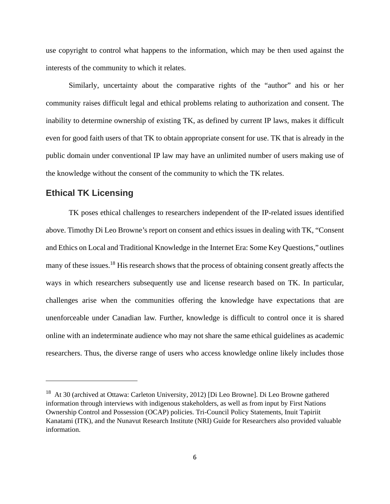use copyright to control what happens to the information, which may be then used against the interests of the community to which it relates.

Similarly, uncertainty about the comparative rights of the "author" and his or her community raises difficult legal and ethical problems relating to authorization and consent. The inability to determine ownership of existing TK, as defined by current IP laws, makes it difficult even for good faith users of that TK to obtain appropriate consent for use. TK that is already in the public domain under conventional IP law may have an unlimited number of users making use of the knowledge without the consent of the community to which the TK relates.

### **Ethical TK Licensing**

 $\overline{a}$ 

TK poses ethical challenges to researchers independent of the IP-related issues identified above. Timothy Di Leo Browne's report on consent and ethics issues in dealing with TK, "Consent and Ethics on Local and Traditional Knowledge in the Internet Era: Some Key Questions," outlines many of these issues.<sup>18</sup> His research shows that the process of obtaining consent greatly affects the ways in which researchers subsequently use and license research based on TK. In particular, challenges arise when the communities offering the knowledge have expectations that are unenforceable under Canadian law. Further, knowledge is difficult to control once it is shared online with an indeterminate audience who may not share the same ethical guidelines as academic researchers. Thus, the diverse range of users who access knowledge online likely includes those

<sup>18</sup> At 30 (archived at Ottawa: Carleton University, 2012) [Di Leo Browne]. Di Leo Browne gathered information through interviews with indigenous stakeholders, as well as from input by First Nations Ownership Control and Possession (OCAP) policies. Tri-Council Policy Statements, Inuit Tapiriit Kanatami (ITK), and the Nunavut Research Institute (NRI) Guide for Researchers also provided valuable information.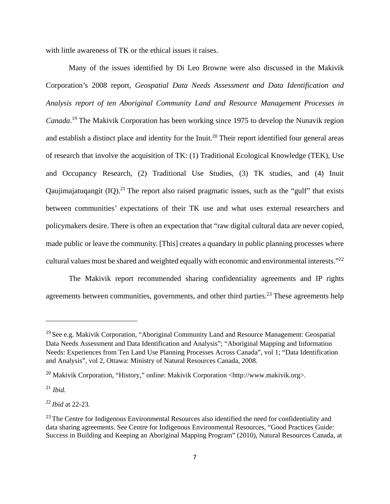with little awareness of TK or the ethical issues it raises.

Many of the issues identified by Di Leo Browne were also discussed in the Makivik Corporation's 2008 report, *Geospatial Data Needs Assessment and Data Identification and Analysis report of ten Aboriginal Community Land and Resource Management Processes in Canada*. 19 The Makivik Corporation has been working since 1975 to develop the Nunavik region and establish a distinct place and identity for the Inuit.<sup>20</sup> Their report identified four general areas of research that involve the acquisition of TK: (1) Traditional Ecological Knowledge (TEK), Use and Occupancy Research, (2) Traditional Use Studies, (3) TK studies, and (4) Inuit Qaujimajatuqangit  $(IQ)$ <sup>21</sup>. The report also raised pragmatic issues, such as the "gulf" that exists between communities' expectations of their TK use and what uses external researchers and policymakers desire. There is often an expectation that "raw digital cultural data are never copied, made public or leave the community. [This] creates a quandary in public planning processes where cultural values must be shared and weighted equally with economic and environmental interests."<sup>22</sup>

The Makivik report recommended sharing confidentiality agreements and IP rights agreements between communities, governments, and other third parties.<sup>23</sup> These agreements help

<sup>&</sup>lt;sup>19</sup> See e.g. Makivik Corporation, "Aboriginal Community Land and Resource Management: Geospatial Data Needs Assessment and Data Identification and Analysis"; "Aboriginal Mapping and Information Needs: Experiences from Ten Land Use Planning Processes Across Canada", vol 1; "Data Identification and Analysis", vol 2, Ottawa: Ministry of Natural Resources Canada, 2008.

<sup>&</sup>lt;sup>20</sup> Makivik Corporation, "History," online: Makivik Corporation <http://www.makivik.org>.

<sup>21</sup> *Ibid.*

<sup>22</sup> *Ibid* at 22-23.

 $23$  The Centre for Indigenous Environmental Resources also identified the need for confidentiality and data sharing agreements. See Centre for Indigenous Environmental Resources, "Good Practices Guide: Success in Building and Keeping an Aboriginal Mapping Program" (2010), Natural Resources Canada, at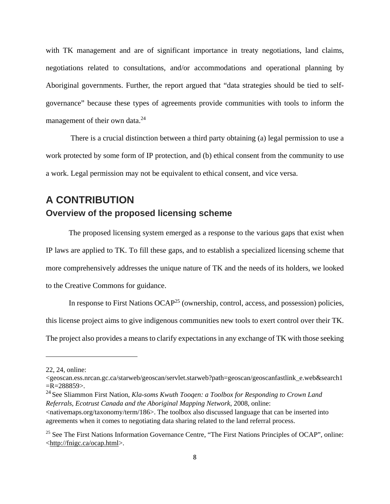with TK management and are of significant importance in treaty negotiations, land claims, negotiations related to consultations, and/or accommodations and operational planning by Aboriginal governments. Further, the report argued that "data strategies should be tied to selfgovernance" because these types of agreements provide communities with tools to inform the management of their own data.<sup>24</sup>

 There is a crucial distinction between a third party obtaining (a) legal permission to use a work protected by some form of IP protection, and (b) ethical consent from the community to use a work. Legal permission may not be equivalent to ethical consent, and vice versa.

# **A CONTRIBUTION Overview of the proposed licensing scheme**

The proposed licensing system emerged as a response to the various gaps that exist when IP laws are applied to TK. To fill these gaps, and to establish a specialized licensing scheme that more comprehensively addresses the unique nature of TK and the needs of its holders, we looked to the Creative Commons for guidance.

In response to First Nations OCAP<sup>25</sup> (ownership, control, access, and possession) policies, this license project aims to give indigenous communities new tools to exert control over their TK.

The project also provides a means to clarify expectations in any exchange of TK with those seeking

<sup>22, 24,</sup> online:

<sup>&</sup>lt;geoscan.ess.nrcan.gc.ca/starweb/geoscan/servlet.starweb?path=geoscan/geoscanfastlink\_e.web&search1  $=R=288859$ .

<sup>24</sup> See Sliammon First Nation, *Kla-soms Kwuth Tooqen: a Toolbox for Responding to Crown Land Referrals, Ecotrust Canada and the Aboriginal Mapping Network*, 2008, online:

<sup>&</sup>lt;nativemaps.org/taxonomy/term/186>. The toolbox also discussed language that can be inserted into agreements when it comes to negotiating data sharing related to the land referral process.

<sup>&</sup>lt;sup>25</sup> See The First Nations Information Governance Centre, "The First Nations Principles of OCAP", online: <http://fnigc.ca/ocap.html>.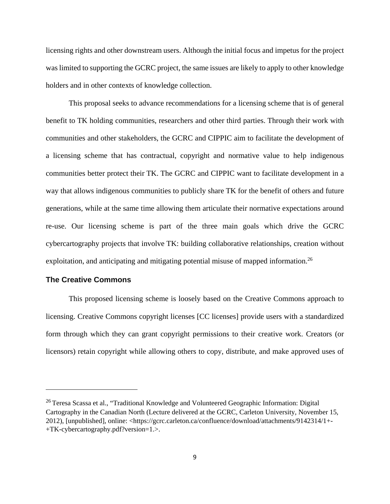licensing rights and other downstream users. Although the initial focus and impetus for the project was limited to supporting the GCRC project, the same issues are likely to apply to other knowledge holders and in other contexts of knowledge collection.

This proposal seeks to advance recommendations for a licensing scheme that is of general benefit to TK holding communities, researchers and other third parties. Through their work with communities and other stakeholders, the GCRC and CIPPIC aim to facilitate the development of a licensing scheme that has contractual, copyright and normative value to help indigenous communities better protect their TK. The GCRC and CIPPIC want to facilitate development in a way that allows indigenous communities to publicly share TK for the benefit of others and future generations, while at the same time allowing them articulate their normative expectations around re-use. Our licensing scheme is part of the three main goals which drive the GCRC cybercartography projects that involve TK: building collaborative relationships, creation without exploitation, and anticipating and mitigating potential misuse of mapped information.<sup>26</sup>

### **The Creative Commons**

This proposed licensing scheme is loosely based on the Creative Commons approach to licensing. Creative Commons copyright licenses [CC licenses] provide users with a standardized form through which they can grant copyright permissions to their creative work. Creators (or licensors) retain copyright while allowing others to copy, distribute, and make approved uses of

<sup>&</sup>lt;sup>26</sup> Teresa Scassa et al., "Traditional Knowledge and Volunteered Geographic Information: Digital Cartography in the Canadian North (Lecture delivered at the GCRC, Carleton University, November 15, 2012), [unpublished], online: <https://gcrc.carleton.ca/confluence/download/attachments/9142314/1+- +TK-cybercartography.pdf?version=1.>.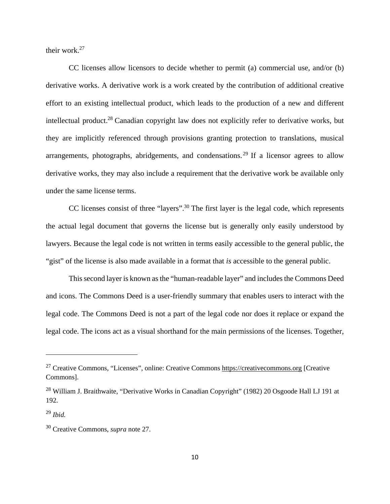their work.27

CC licenses allow licensors to decide whether to permit (a) commercial use, and/or (b) derivative works. A derivative work is a work created by the contribution of additional creative effort to an existing intellectual product, which leads to the production of a new and different intellectual product.<sup>28</sup> Canadian copyright law does not explicitly refer to derivative works, but they are implicitly referenced through provisions granting protection to translations, musical arrangements, photographs, abridgements, and condensations.<sup>29</sup> If a licensor agrees to allow derivative works, they may also include a requirement that the derivative work be available only under the same license terms.

CC licenses consist of three "layers".30 The first layer is the legal code, which represents the actual legal document that governs the license but is generally only easily understood by lawyers. Because the legal code is not written in terms easily accessible to the general public, the "gist" of the license is also made available in a format that *is* accessible to the general public.

This second layer is known as the "human-readable layer" and includes the Commons Deed and icons. The Commons Deed is a user-friendly summary that enables users to interact with the legal code. The Commons Deed is not a part of the legal code nor does it replace or expand the legal code. The icons act as a visual shorthand for the main permissions of the licenses. Together,

<sup>27</sup> Creative Commons, "Licenses", online: Creative Commons https://creativecommons.org [Creative Commons].

<sup>&</sup>lt;sup>28</sup> William J. Braithwaite, "Derivative Works in Canadian Copyright" (1982) 20 Osgoode Hall LJ 191 at 192.

<sup>29</sup> *Ibid.* 

<sup>30</sup> Creative Commons, *supra* note 27.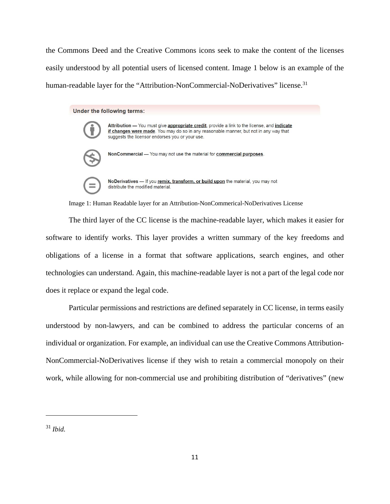the Commons Deed and the Creative Commons icons seek to make the content of the licenses easily understood by all potential users of licensed content. Image 1 below is an example of the human-readable layer for the "Attribution-NonCommercial-NoDerivatives" license.<sup>31</sup>

#### Under the following terms:



Attribution - You must give appropriate credit, provide a link to the license, and indicate if changes were made. You may do so in any reasonable manner, but not in any way that suggests the licensor endorses you or your use.



NoDerivatives - If you remix, transform, or build upon the material, you may not distribute the modified material.

Image 1: Human Readable layer for an Attribution-NonCommerical-NoDerivatives License

The third layer of the CC license is the machine-readable layer, which makes it easier for software to identify works. This layer provides a written summary of the key freedoms and obligations of a license in a format that software applications, search engines, and other technologies can understand. Again, this machine-readable layer is not a part of the legal code nor does it replace or expand the legal code.

Particular permissions and restrictions are defined separately in CC license, in terms easily understood by non-lawyers, and can be combined to address the particular concerns of an individual or organization. For example, an individual can use the Creative Commons Attribution-NonCommercial-NoDerivatives license if they wish to retain a commercial monopoly on their work, while allowing for non-commercial use and prohibiting distribution of "derivatives" (new

<sup>31</sup> *Ibid.*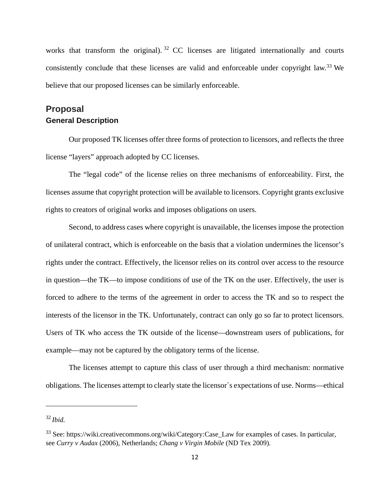works that transform the original). <sup>32</sup> CC licenses are litigated internationally and courts consistently conclude that these licenses are valid and enforceable under copyright law.<sup>33</sup> We believe that our proposed licenses can be similarly enforceable.

# **Proposal General Description**

Our proposed TK licenses offer three forms of protection to licensors, and reflects the three license "layers" approach adopted by CC licenses.

The "legal code" of the license relies on three mechanisms of enforceability. First, the licenses assume that copyright protection will be available to licensors. Copyright grants exclusive rights to creators of original works and imposes obligations on users.

Second, to address cases where copyright is unavailable, the licenses impose the protection of unilateral contract, which is enforceable on the basis that a violation undermines the licensor's rights under the contract. Effectively, the licensor relies on its control over access to the resource in question—the TK—to impose conditions of use of the TK on the user. Effectively, the user is forced to adhere to the terms of the agreement in order to access the TK and so to respect the interests of the licensor in the TK. Unfortunately, contract can only go so far to protect licensors. Users of TK who access the TK outside of the license—downstream users of publications, for example—may not be captured by the obligatory terms of the license.

The licenses attempt to capture this class of user through a third mechanism: normative obligations. The licenses attempt to clearly state the licensor`s expectations of use. Norms—ethical

<sup>32</sup> *Ibid.*

<sup>&</sup>lt;sup>33</sup> See: https://wiki.creativecommons.org/wiki/Category:Case Law for examples of cases. In particular, see *Curry v Audax* (2006), Netherlands; *Chang v Virgin Mobile* (ND Tex 2009).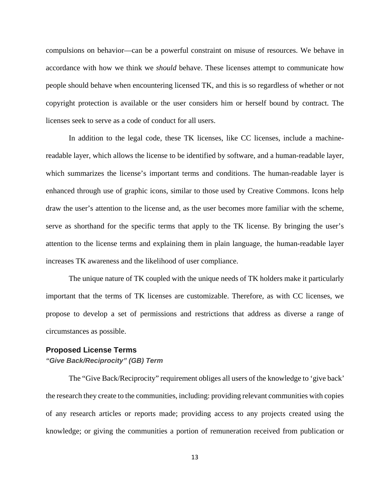compulsions on behavior—can be a powerful constraint on misuse of resources. We behave in accordance with how we think we *should* behave. These licenses attempt to communicate how people should behave when encountering licensed TK, and this is so regardless of whether or not copyright protection is available or the user considers him or herself bound by contract. The licenses seek to serve as a code of conduct for all users.

In addition to the legal code, these TK licenses, like CC licenses, include a machinereadable layer, which allows the license to be identified by software, and a human-readable layer, which summarizes the license's important terms and conditions. The human-readable layer is enhanced through use of graphic icons, similar to those used by Creative Commons. Icons help draw the user's attention to the license and, as the user becomes more familiar with the scheme, serve as shorthand for the specific terms that apply to the TK license. By bringing the user's attention to the license terms and explaining them in plain language, the human-readable layer increases TK awareness and the likelihood of user compliance.

The unique nature of TK coupled with the unique needs of TK holders make it particularly important that the terms of TK licenses are customizable. Therefore, as with CC licenses, we propose to develop a set of permissions and restrictions that address as diverse a range of circumstances as possible.

### **Proposed License Terms**

#### *"Give Back/Reciprocity" (GB) Term*

The "Give Back/Reciprocity" requirement obliges all users of the knowledge to 'give back' the research they create to the communities, including: providing relevant communities with copies of any research articles or reports made; providing access to any projects created using the knowledge; or giving the communities a portion of remuneration received from publication or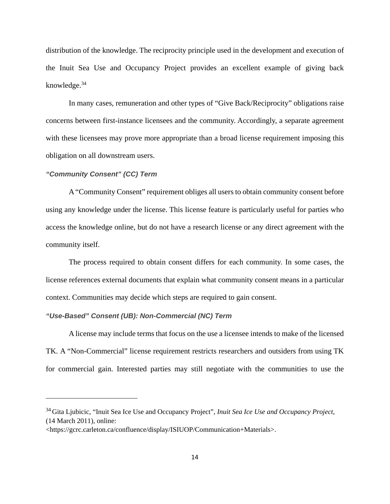distribution of the knowledge. The reciprocity principle used in the development and execution of the Inuit Sea Use and Occupancy Project provides an excellent example of giving back knowledge. $34$ 

In many cases, remuneration and other types of "Give Back/Reciprocity" obligations raise concerns between first-instance licensees and the community. Accordingly, a separate agreement with these licensees may prove more appropriate than a broad license requirement imposing this obligation on all downstream users.

#### *"Community Consent" (CC) Term*

 $\overline{a}$ 

A "Community Consent" requirement obliges all users to obtain community consent before using any knowledge under the license. This license feature is particularly useful for parties who access the knowledge online, but do not have a research license or any direct agreement with the community itself.

The process required to obtain consent differs for each community. In some cases, the license references external documents that explain what community consent means in a particular context. Communities may decide which steps are required to gain consent.

#### *"Use-Based" Consent (UB): Non-Commercial (NC) Term*

A license may include terms that focus on the use a licensee intends to make of the licensed TK. A "Non-Commercial" license requirement restricts researchers and outsiders from using TK for commercial gain. Interested parties may still negotiate with the communities to use the

<sup>34</sup> Gita Ljubicic, "Inuit Sea Ice Use and Occupancy Project", *Inuit Sea Ice Use and Occupancy Project*, (14 March 2011), online:

<sup>&</sup>lt;https://gcrc.carleton.ca/confluence/display/ISIUOP/Communication+Materials>.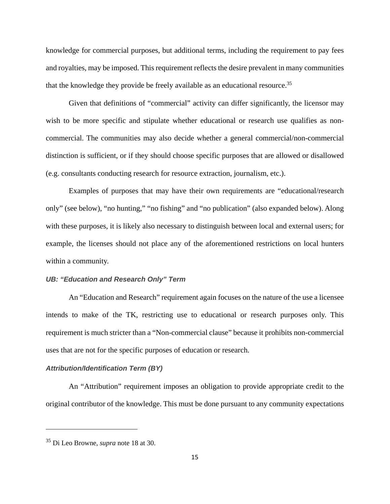knowledge for commercial purposes, but additional terms, including the requirement to pay fees and royalties, may be imposed. This requirement reflects the desire prevalent in many communities that the knowledge they provide be freely available as an educational resource.<sup>35</sup>

Given that definitions of "commercial" activity can differ significantly, the licensor may wish to be more specific and stipulate whether educational or research use qualifies as noncommercial. The communities may also decide whether a general commercial/non-commercial distinction is sufficient, or if they should choose specific purposes that are allowed or disallowed (e.g. consultants conducting research for resource extraction, journalism, etc.).

Examples of purposes that may have their own requirements are "educational/research only" (see below), "no hunting," "no fishing" and "no publication" (also expanded below). Along with these purposes, it is likely also necessary to distinguish between local and external users; for example, the licenses should not place any of the aforementioned restrictions on local hunters within a community.

#### *UB: "Education and Research Only" Term*

An "Education and Research" requirement again focuses on the nature of the use a licensee intends to make of the TK, restricting use to educational or research purposes only. This requirement is much stricter than a "Non-commercial clause" because it prohibits non-commercial uses that are not for the specific purposes of education or research.

#### *Attribution/Identification Term (BY)*

An "Attribution" requirement imposes an obligation to provide appropriate credit to the original contributor of the knowledge. This must be done pursuant to any community expectations

<sup>35</sup> Di Leo Browne, *supra* note 18 at 30.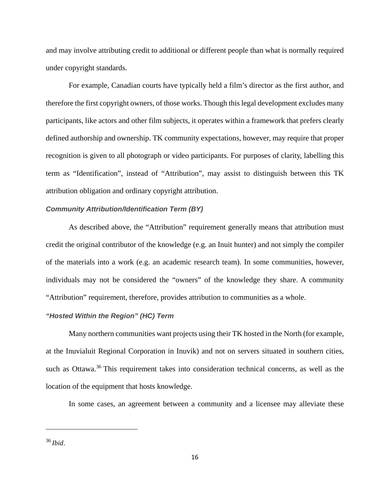and may involve attributing credit to additional or different people than what is normally required under copyright standards.

For example, Canadian courts have typically held a film's director as the first author, and therefore the first copyright owners, of those works. Though this legal development excludes many participants, like actors and other film subjects, it operates within a framework that prefers clearly defined authorship and ownership. TK community expectations, however, may require that proper recognition is given to all photograph or video participants. For purposes of clarity, labelling this term as "Identification", instead of "Attribution", may assist to distinguish between this TK attribution obligation and ordinary copyright attribution.

#### *Community Attribution/Identification Term (BY)*

As described above, the "Attribution" requirement generally means that attribution must credit the original contributor of the knowledge (e.g. an Inuit hunter) and not simply the compiler of the materials into a work (e.g. an academic research team). In some communities, however, individuals may not be considered the "owners" of the knowledge they share. A community "Attribution" requirement, therefore, provides attribution to communities as a whole.

### *"Hosted Within the Region" (HC) Term*

Many northern communities want projects using their TK hosted in the North (for example, at the Inuvialuit Regional Corporation in Inuvik) and not on servers situated in southern cities, such as Ottawa.<sup>36</sup> This requirement takes into consideration technical concerns, as well as the location of the equipment that hosts knowledge.

In some cases, an agreement between a community and a licensee may alleviate these

<sup>36</sup> *Ibid*.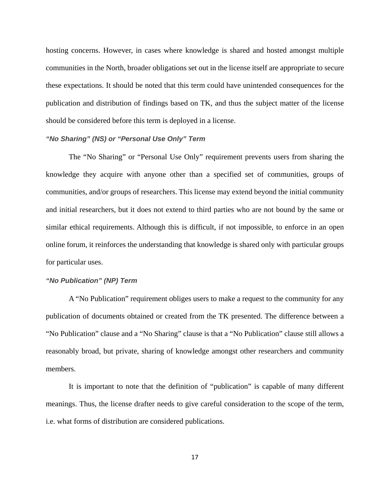hosting concerns. However, in cases where knowledge is shared and hosted amongst multiple communities in the North, broader obligations set out in the license itself are appropriate to secure these expectations. It should be noted that this term could have unintended consequences for the publication and distribution of findings based on TK, and thus the subject matter of the license should be considered before this term is deployed in a license.

#### *"No Sharing" (NS) or "Personal Use Only" Term*

The "No Sharing" or "Personal Use Only" requirement prevents users from sharing the knowledge they acquire with anyone other than a specified set of communities, groups of communities, and/or groups of researchers. This license may extend beyond the initial community and initial researchers, but it does not extend to third parties who are not bound by the same or similar ethical requirements. Although this is difficult, if not impossible, to enforce in an open online forum, it reinforces the understanding that knowledge is shared only with particular groups for particular uses.

#### *"No Publication" (NP) Term*

A "No Publication" requirement obliges users to make a request to the community for any publication of documents obtained or created from the TK presented. The difference between a "No Publication" clause and a "No Sharing" clause is that a "No Publication" clause still allows a reasonably broad, but private, sharing of knowledge amongst other researchers and community members.

It is important to note that the definition of "publication" is capable of many different meanings. Thus, the license drafter needs to give careful consideration to the scope of the term, i.e. what forms of distribution are considered publications.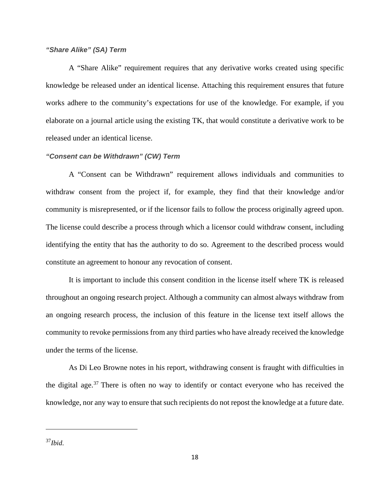### *"Share Alike" (SA) Term*

A "Share Alike" requirement requires that any derivative works created using specific knowledge be released under an identical license. Attaching this requirement ensures that future works adhere to the community's expectations for use of the knowledge. For example, if you elaborate on a journal article using the existing TK, that would constitute a derivative work to be released under an identical license.

#### *"Consent can be Withdrawn" (CW) Term*

A "Consent can be Withdrawn" requirement allows individuals and communities to withdraw consent from the project if, for example, they find that their knowledge and/or community is misrepresented, or if the licensor fails to follow the process originally agreed upon. The license could describe a process through which a licensor could withdraw consent, including identifying the entity that has the authority to do so. Agreement to the described process would constitute an agreement to honour any revocation of consent.

It is important to include this consent condition in the license itself where TK is released throughout an ongoing research project. Although a community can almost always withdraw from an ongoing research process, the inclusion of this feature in the license text itself allows the community to revoke permissions from any third parties who have already received the knowledge under the terms of the license.

As Di Leo Browne notes in his report, withdrawing consent is fraught with difficulties in the digital age.<sup>37</sup> There is often no way to identify or contact everyone who has received the knowledge, nor any way to ensure that such recipients do not repost the knowledge at a future date.

<sup>37</sup>*Ibid*.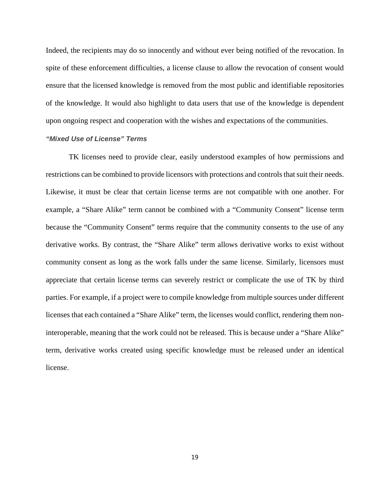Indeed, the recipients may do so innocently and without ever being notified of the revocation. In spite of these enforcement difficulties, a license clause to allow the revocation of consent would ensure that the licensed knowledge is removed from the most public and identifiable repositories of the knowledge. It would also highlight to data users that use of the knowledge is dependent upon ongoing respect and cooperation with the wishes and expectations of the communities.

#### *"Mixed Use of License" Terms*

TK licenses need to provide clear, easily understood examples of how permissions and restrictions can be combined to provide licensors with protections and controls that suit their needs. Likewise, it must be clear that certain license terms are not compatible with one another. For example, a "Share Alike" term cannot be combined with a "Community Consent" license term because the "Community Consent" terms require that the community consents to the use of any derivative works. By contrast, the "Share Alike" term allows derivative works to exist without community consent as long as the work falls under the same license. Similarly, licensors must appreciate that certain license terms can severely restrict or complicate the use of TK by third parties. For example, if a project were to compile knowledge from multiple sources under different licenses that each contained a "Share Alike" term, the licenses would conflict, rendering them noninteroperable, meaning that the work could not be released. This is because under a "Share Alike" term, derivative works created using specific knowledge must be released under an identical license.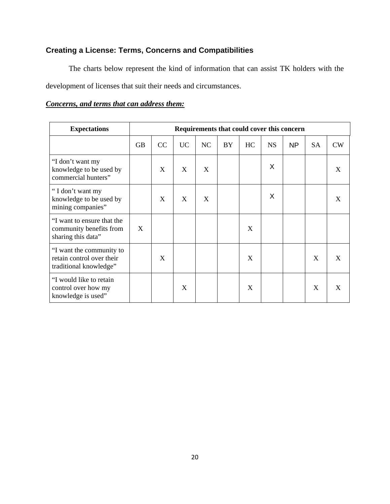# **Creating a License: Terms, Concerns and Compatibilities**

The charts below represent the kind of information that can assist TK holders with the development of licenses that suit their needs and circumstances.

## *Concerns, and terms that can address them:*

| <b>Expectations</b>                                                             |           | Requirements that could cover this concern |    |    |    |    |           |    |           |    |
|---------------------------------------------------------------------------------|-----------|--------------------------------------------|----|----|----|----|-----------|----|-----------|----|
|                                                                                 | <b>GB</b> | CC                                         | UC | NC | BY | HC | <b>NS</b> | NP | <b>SA</b> | CW |
| "I don't want my<br>knowledge to be used by<br>commercial hunters"              |           | X                                          | X  | X  |    |    | X         |    |           | X  |
| "I don't want my<br>knowledge to be used by<br>mining companies"                |           | X                                          | X  | X  |    |    | X         |    |           | X  |
| "I want to ensure that the<br>community benefits from<br>sharing this data"     | X         |                                            |    |    |    | X  |           |    |           |    |
| "I want the community to<br>retain control over their<br>traditional knowledge" |           | X                                          |    |    |    | X  |           |    | X         | X  |
| "I would like to retain<br>control over how my<br>knowledge is used"            |           |                                            | X  |    |    | X  |           |    | X         | X  |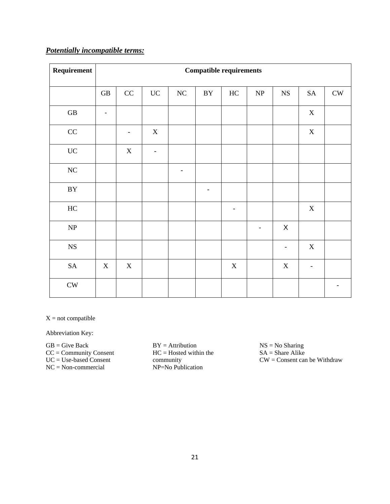# *Potentially incompatible terms:*

| Requirement                       | <b>Compatible requirements</b> |             |                          |                          |                          |             |                                   |                          |                          |               |
|-----------------------------------|--------------------------------|-------------|--------------------------|--------------------------|--------------------------|-------------|-----------------------------------|--------------------------|--------------------------|---------------|
|                                   | $\operatorname{GB}$            | $\rm CC$    | $\rm UC$                 | $\rm NC$                 | $\rm BY$                 | $\rm HC$    | $\ensuremath{\mathbf{NP}}\xspace$ | $_{\rm NS}$              | ${\rm SA}$               | ${\rm\bf CW}$ |
| $\operatorname{GB}$               |                                |             |                          |                          |                          |             |                                   |                          | $\mathbf X$              |               |
| $\rm CC$                          |                                |             | $\mathbf X$              |                          |                          |             |                                   |                          | $\mathbf X$              |               |
| $\rm UC$                          |                                | $\mathbf X$ | $\overline{\phantom{a}}$ |                          |                          |             |                                   |                          |                          |               |
| $\rm NC$                          |                                |             |                          | $\overline{\phantom{a}}$ |                          |             |                                   |                          |                          |               |
| $\rm BY$                          |                                |             |                          |                          | $\overline{\phantom{a}}$ |             |                                   |                          |                          |               |
| $\rm HC$                          |                                |             |                          |                          |                          |             |                                   |                          | $\mathbf X$              |               |
| $\ensuremath{\mathbf{NP}}\xspace$ |                                |             |                          |                          |                          |             | $\overline{\phantom{a}}$          | $\mathsf X$              |                          |               |
| ${\rm NS}$                        |                                |             |                          |                          |                          |             |                                   | $\overline{\phantom{0}}$ | $\mathbf X$              |               |
| ${\rm SA}$                        | $X_{\mathcal{I}}$              | $\mathbf X$ |                          |                          |                          | $\mathbf X$ |                                   | $\mathbf X$              | $\overline{\phantom{a}}$ |               |
| ${\rm\bf CW}$                     |                                |             |                          |                          |                          |             |                                   |                          |                          |               |

 $X = not compatible$ 

Abbreviation Key:

 $\mathbf{GB}=\mathbf{Give\,}$ CC = Community Consent UC = Use-based Consent NC = Non-commercial

BY = Attribution HC = Hosted within the community NP=No Publication

NS = No Sharing  $SA =$ Share Alike CW = Consent can be Withdraw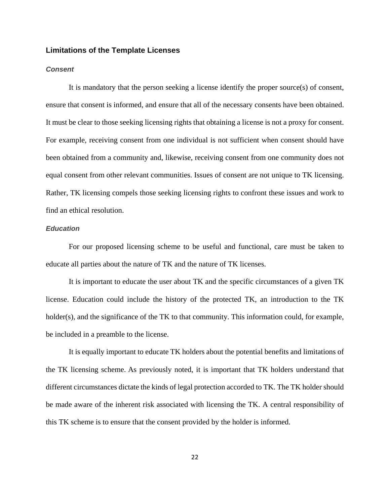#### **Limitations of the Template Licenses**

#### *Consent*

It is mandatory that the person seeking a license identify the proper source(s) of consent, ensure that consent is informed, and ensure that all of the necessary consents have been obtained. It must be clear to those seeking licensing rights that obtaining a license is not a proxy for consent. For example, receiving consent from one individual is not sufficient when consent should have been obtained from a community and, likewise, receiving consent from one community does not equal consent from other relevant communities. Issues of consent are not unique to TK licensing. Rather, TK licensing compels those seeking licensing rights to confront these issues and work to find an ethical resolution.

### *Education*

For our proposed licensing scheme to be useful and functional, care must be taken to educate all parties about the nature of TK and the nature of TK licenses.

It is important to educate the user about TK and the specific circumstances of a given TK license. Education could include the history of the protected TK, an introduction to the TK holder(s), and the significance of the TK to that community. This information could, for example, be included in a preamble to the license.

It is equally important to educate TK holders about the potential benefits and limitations of the TK licensing scheme. As previously noted, it is important that TK holders understand that different circumstances dictate the kinds of legal protection accorded to TK. The TK holder should be made aware of the inherent risk associated with licensing the TK. A central responsibility of this TK scheme is to ensure that the consent provided by the holder is informed.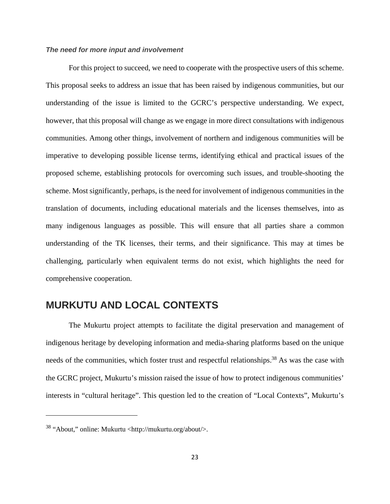#### *The need for more input and involvement*

For this project to succeed, we need to cooperate with the prospective users of this scheme. This proposal seeks to address an issue that has been raised by indigenous communities, but our understanding of the issue is limited to the GCRC's perspective understanding. We expect, however, that this proposal will change as we engage in more direct consultations with indigenous communities. Among other things, involvement of northern and indigenous communities will be imperative to developing possible license terms, identifying ethical and practical issues of the proposed scheme, establishing protocols for overcoming such issues, and trouble-shooting the scheme. Most significantly, perhaps, is the need for involvement of indigenous communities in the translation of documents, including educational materials and the licenses themselves, into as many indigenous languages as possible. This will ensure that all parties share a common understanding of the TK licenses, their terms, and their significance. This may at times be challenging, particularly when equivalent terms do not exist, which highlights the need for comprehensive cooperation.

# **MURKUTU AND LOCAL CONTEXTS**

The Mukurtu project attempts to facilitate the digital preservation and management of indigenous heritage by developing information and media-sharing platforms based on the unique needs of the communities, which foster trust and respectful relationships.<sup>38</sup> As was the case with the GCRC project, Mukurtu's mission raised the issue of how to protect indigenous communities' interests in "cultural heritage". This question led to the creation of "Local Contexts", Mukurtu's

<sup>38 &</sup>quot;About," online: Mukurtu <http://mukurtu.org/about/>.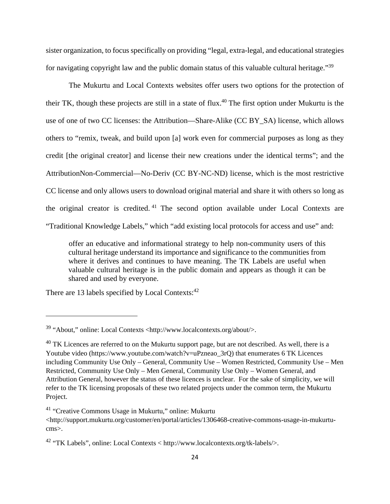sister organization, to focus specifically on providing "legal, extra-legal, and educational strategies for navigating copyright law and the public domain status of this valuable cultural heritage."39

The Mukurtu and Local Contexts websites offer users two options for the protection of their TK, though these projects are still in a state of flux.40 The first option under Mukurtu is the use of one of two CC licenses: the Attribution—Share-Alike (CC BY\_SA) license, which allows others to "remix, tweak, and build upon [a] work even for commercial purposes as long as they credit [the original creator] and license their new creations under the identical terms"; and the AttributionNon-Commercial—No-Deriv (CC BY-NC-ND) license, which is the most restrictive CC license and only allows users to download original material and share it with others so long as the original creator is credited. 41 The second option available under Local Contexts are "Traditional Knowledge Labels," which "add existing local protocols for access and use" and:

offer an educative and informational strategy to help non-community users of this cultural heritage understand its importance and significance to the communities from where it derives and continues to have meaning. The TK Labels are useful when valuable cultural heritage is in the public domain and appears as though it can be shared and used by everyone.

There are 13 labels specified by Local Contexts:<sup>42</sup>

<sup>39 &</sup>quot;About," online: Local Contexts <http://www.localcontexts.org/about/>.

 $^{40}$  TK Licences are referred to on the Mukurtu support page, but are not described. As well, there is a Youtube video (https://www.youtube.com/watch?v=uPzneao\_3rQ) that enumerates 6 TK Licences including Community Use Only – General, Community Use – Women Restricted, Community Use – Men Restricted, Community Use Only – Men General, Community Use Only – Women General, and Attribution General, however the status of these licences is unclear. For the sake of simplicity, we will refer to the TK licensing proposals of these two related projects under the common term, the Mukurtu Project.

<sup>41 &</sup>quot;Creative Commons Usage in Mukurtu," online: Mukurtu

<sup>&</sup>lt;http://support.mukurtu.org/customer/en/portal/articles/1306468-creative-commons-usage-in-mukurtucms>.

<sup>42 &</sup>quot;TK Labels", online: Local Contexts < http://www.localcontexts.org/tk-labels/>.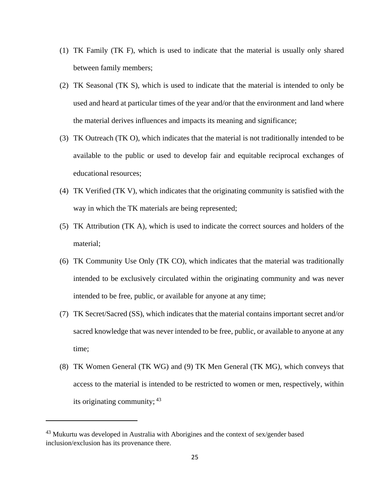- (1) TK Family (TK F), which is used to indicate that the material is usually only shared between family members;
- (2) TK Seasonal (TK S), which is used to indicate that the material is intended to only be used and heard at particular times of the year and/or that the environment and land where the material derives influences and impacts its meaning and significance;
- (3) TK Outreach (TK O), which indicates that the material is not traditionally intended to be available to the public or used to develop fair and equitable reciprocal exchanges of educational resources;
- (4) TK Verified (TK V), which indicates that the originating community is satisfied with the way in which the TK materials are being represented;
- (5) TK Attribution (TK A), which is used to indicate the correct sources and holders of the material;
- (6) TK Community Use Only (TK CO), which indicates that the material was traditionally intended to be exclusively circulated within the originating community and was never intended to be free, public, or available for anyone at any time;
- (7) TK Secret/Sacred (SS), which indicates that the material contains important secret and/or sacred knowledge that was never intended to be free, public, or available to anyone at any time;
- (8) TK Women General (TK WG) and (9) TK Men General (TK MG), which conveys that access to the material is intended to be restricted to women or men, respectively, within its originating community; 43

 $43$  Mukurtu was developed in Australia with Aborigines and the context of sex/gender based inclusion/exclusion has its provenance there.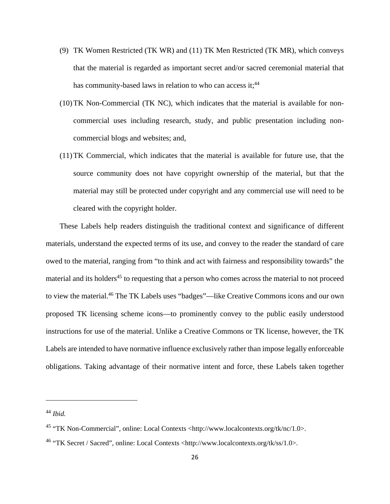- (9) TK Women Restricted (TK WR) and (11) TK Men Restricted (TK MR), which conveys that the material is regarded as important secret and/or sacred ceremonial material that has community-based laws in relation to who can access it;<sup>44</sup>
- (10)TK Non-Commercial (TK NC), which indicates that the material is available for noncommercial uses including research, study, and public presentation including noncommercial blogs and websites; and,
- (11)TK Commercial, which indicates that the material is available for future use, that the source community does not have copyright ownership of the material, but that the material may still be protected under copyright and any commercial use will need to be cleared with the copyright holder.

These Labels help readers distinguish the traditional context and significance of different materials, understand the expected terms of its use, and convey to the reader the standard of care owed to the material, ranging from "to think and act with fairness and responsibility towards" the material and its holders<sup>45</sup> to requesting that a person who comes across the material to not proceed to view the material.46 The TK Labels uses "badges"—like Creative Commons icons and our own proposed TK licensing scheme icons—to prominently convey to the public easily understood instructions for use of the material. Unlike a Creative Commons or TK license, however, the TK Labels are intended to have normative influence exclusively rather than impose legally enforceable obligations. Taking advantage of their normative intent and force, these Labels taken together

<sup>44</sup> *Ibid.*

<sup>45 &</sup>quot;TK Non-Commercial", online: Local Contexts <http://www.localcontexts.org/tk/nc/1.0>.

<sup>46 &</sup>quot;TK Secret / Sacred", online: Local Contexts <http://www.localcontexts.org/tk/ss/1.0>.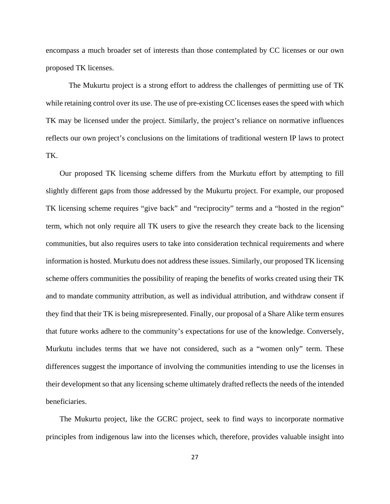encompass a much broader set of interests than those contemplated by CC licenses or our own proposed TK licenses.

 The Mukurtu project is a strong effort to address the challenges of permitting use of TK while retaining control over its use. The use of pre-existing CC licenses eases the speed with which TK may be licensed under the project. Similarly, the project's reliance on normative influences reflects our own project's conclusions on the limitations of traditional western IP laws to protect TK.

Our proposed TK licensing scheme differs from the Murkutu effort by attempting to fill slightly different gaps from those addressed by the Mukurtu project. For example, our proposed TK licensing scheme requires "give back" and "reciprocity" terms and a "hosted in the region" term, which not only require all TK users to give the research they create back to the licensing communities, but also requires users to take into consideration technical requirements and where information is hosted. Murkutu does not address these issues. Similarly, our proposed TK licensing scheme offers communities the possibility of reaping the benefits of works created using their TK and to mandate community attribution, as well as individual attribution, and withdraw consent if they find that their TK is being misrepresented. Finally, our proposal of a Share Alike term ensures that future works adhere to the community's expectations for use of the knowledge. Conversely, Murkutu includes terms that we have not considered, such as a "women only" term. These differences suggest the importance of involving the communities intending to use the licenses in their development so that any licensing scheme ultimately drafted reflects the needs of the intended beneficiaries.

The Mukurtu project, like the GCRC project, seek to find ways to incorporate normative principles from indigenous law into the licenses which, therefore, provides valuable insight into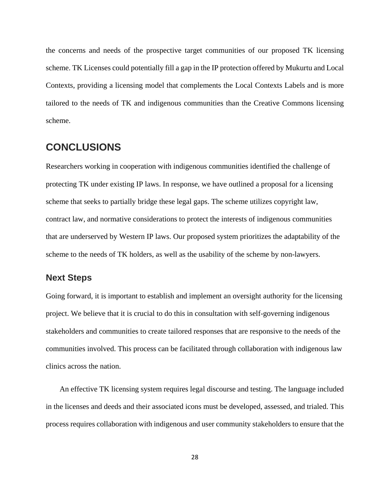the concerns and needs of the prospective target communities of our proposed TK licensing scheme. TK Licenses could potentially fill a gap in the IP protection offered by Mukurtu and Local Contexts, providing a licensing model that complements the Local Contexts Labels and is more tailored to the needs of TK and indigenous communities than the Creative Commons licensing scheme.

# **CONCLUSIONS**

Researchers working in cooperation with indigenous communities identified the challenge of protecting TK under existing IP laws. In response, we have outlined a proposal for a licensing scheme that seeks to partially bridge these legal gaps. The scheme utilizes copyright law, contract law, and normative considerations to protect the interests of indigenous communities that are underserved by Western IP laws. Our proposed system prioritizes the adaptability of the scheme to the needs of TK holders, as well as the usability of the scheme by non-lawyers.

### **Next Steps**

Going forward, it is important to establish and implement an oversight authority for the licensing project. We believe that it is crucial to do this in consultation with self-governing indigenous stakeholders and communities to create tailored responses that are responsive to the needs of the communities involved. This process can be facilitated through collaboration with indigenous law clinics across the nation.

An effective TK licensing system requires legal discourse and testing. The language included in the licenses and deeds and their associated icons must be developed, assessed, and trialed. This process requires collaboration with indigenous and user community stakeholders to ensure that the